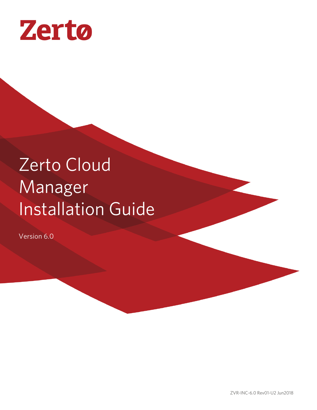

# Zerto Cloud Manager Installation Guide

Version 6.0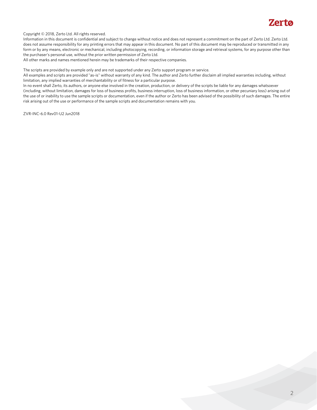

Copyright © 2018, Zerto Ltd. All rights reserved.

Information in this document is confidential and subject to change without notice and does not represent a commitment on the part of Zerto Ltd. Zerto Ltd. does not assume responsibility for any printing errors that may appear in this document. No part of this document may be reproduced or transmitted in any form or by any means, electronic or mechanical, including photocopying, recording, or information storage and retrieval systems, for any purpose other than the purchaser's personal use, without the prior written permission of Zerto Ltd.

All other marks and names mentioned herein may be trademarks of their respective companies.

The scripts are provided by example only and are not supported under any Zerto support program or service.

All examples and scripts are provided "as-is" without warranty of any kind. The author and Zerto further disclaim all implied warranties including, without limitation, any implied warranties of merchantability or of fitness for a particular purpose.

In no event shall Zerto, its authors, or anyone else involved in the creation, production, or delivery of the scripts be liable for any damages whatsoever (including, without limitation, damages for loss of business profits, business interruption, loss of business information, or other pecuniary loss) arising out of the use of or inability to use the sample scripts or documentation, even if the author or Zerto has been advised of the possibility of such damages. The entire risk arising out of the use or performance of the sample scripts and documentation remains with you.

ZVR-INC-6.0 Rev01-U2 Jun2018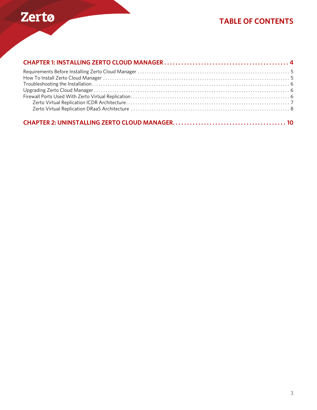

## **TABLE OF CONTENTS**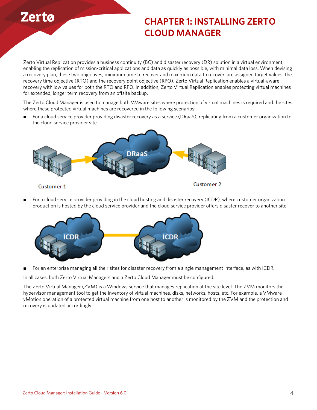

# <span id="page-3-0"></span>**CHAPTER 1: INSTALLING ZERTO CLOUD MANAGER**

Zerto Virtual Replication provides a business continuity (BC) and disaster recovery (DR) solution in a virtual environment, enabling the replication of mission-critical applications and data as quickly as possible, with minimal data loss. When devising a recovery plan, these two objectives, minimum time to recover and maximum data to recover, are assigned target values: the recovery time objective (RTO) and the recovery point objective (RPO). Zerto Virtual Replication enables a virtual-aware recovery with low values for both the RTO and RPO. In addition, Zerto Virtual Replication enables protecting virtual machines for extended, longer term recovery from an offsite backup.

The Zerto Cloud Manager is used to manage both VMware sites where protection of virtual machines is required and the sites where these protected virtual machines are recovered in the following scenarios:

■ For a cloud service provider providing disaster recovery as a service (DRaaS), replicating from a customer organization to the cloud service provider site.



■ For a cloud service provider providing in the cloud hosting and disaster recovery (ICDR), where customer organization production is hosted by the cloud service provider and the cloud service provider offers disaster recover to another site.



■ For an enterprise managing all their sites for disaster recovery from a single management interface, as with ICDR.

In all cases, both Zerto Virtual Managers and a Zerto Cloud Manager must be configured.

The Zerto Virtual Manager (ZVM) is a Windows service that manages replication at the site level. The ZVM monitors the hypervisor management tool to get the inventory of virtual machines, disks, networks, hosts, etc. For example, a VMware vMotion operation of a protected virtual machine from one host to another is monitored by the ZVM and the protection and recovery is updated accordingly.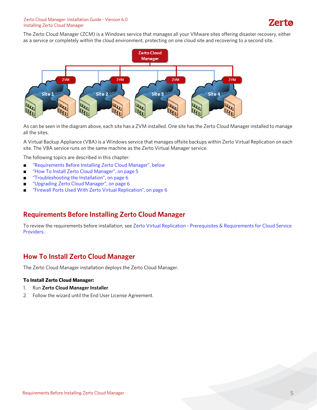#### Zerto Cloud Manager: Installation Guide - Version 6.0 Installing Zerto Cloud Manager

The Zerto Cloud Manager (ZCM) is a Windows service that manages all your VMware sites offering disaster recovery, either as a service or completely within the cloud environment, protecting on one cloud site and recovering to a second site.



As can be seen in the diagram above, each site has a ZVM installed. One site has the Zerto Cloud Manager installed to manage all the sites.

A Virtual Backup Appliance (VBA) is a Windows service that manages offsite backups within Zerto Virtual Replication on each site. The VBA service runs on the same machine as the Zerto Virtual Manager service.

The following topics are described in this chapter:

- ["Requirements Before Installing Zerto Cloud Manager", below](#page-4-0)
- ["How To Install Zerto Cloud Manager", on page 5](#page-4-1)
- ["Troubleshooting the Installation", on page 6](#page-5-0)
- *"*Upgrading Zerto Cloud Manager", on page 6
- ["Firewall Ports Used With Zerto Virtual Replication", on page 6](#page-5-2)

### <span id="page-4-0"></span>**Requirements Before Installing Zerto Cloud Manager**

To review the requirements before installation, see [Zerto Virtual Replication - Prerequisites & Requirements for Cloud Service](http://s3.amazonaws.com/zertodownload_docs/Latest/Zerto%20Virtual%20Replication%20Cloud%20Service%20Provider%20Guidelines.pdf)  [Providers](http://s3.amazonaws.com/zertodownload_docs/Latest/Zerto%20Virtual%20Replication%20Cloud%20Service%20Provider%20Guidelines.pdf).

### <span id="page-4-1"></span>**How To Install Zerto Cloud Manager**

The Zerto Cloud Manager installation deploys the Zerto Cloud Manager.

#### **To Install Zerto Cloud Manager:**

- 1. Run **Zerto Cloud Manager Installer**.
- 2. Follow the wizard until the End User License Agreement.

Zerta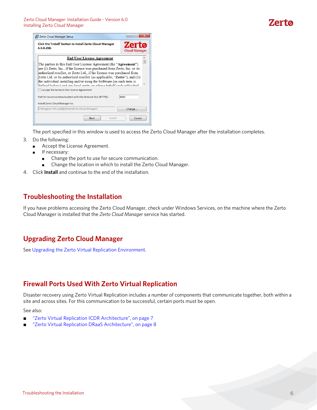

The port specified in this window is used to access the Zerto Cloud Manager after the installation completes.

- 3. Do the following:
	- Accept the License Agreement.
		- If necessary:
			- Change the port to use for secure communication.
			- Change the location in which to install the Zerto Cloud Manager.
- 4. Click **Install** and continue to the end of the installation.

### <span id="page-5-0"></span>**Troubleshooting the Installation**

If you have problems accessing the Zerto Cloud Manager, check under Windows Services, on the machine where the Zerto Cloud Manager is installed that the *Zerto Cloud Manager* service has started.

## <span id="page-5-1"></span>**Upgrading Zerto Cloud Manager**

See [Upgrading the Zerto Virtual Replication Environment](http://s3.amazonaws.com/zertodownload_docs/Latest/Upgrading%20Zerto%20Virtual%20Replication.pdf).

## <span id="page-5-2"></span>**Firewall Ports Used With Zerto Virtual Replication**

Disaster recovery using Zerto Virtual Replication includes a number of components that communicate together, both within a site and across sites. For this communication to be successful, certain ports must be open.

See also:

- ["Zerto Virtual Replication ICDR Architecture", on page 7](#page-6-0)
- ["Zerto Virtual Replication DRaaS Architecture", on page 8](#page-7-0)

**Zerta**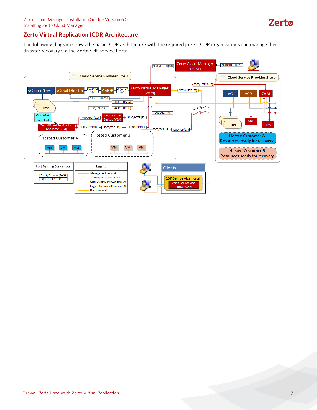

#### <span id="page-6-0"></span>**Zerto Virtual Replication ICDR Architecture**

The following diagram shows the basic ICDR architecture with the required ports. ICDR organizations can manage their disaster recovery via the Zerto Self-service Portal.

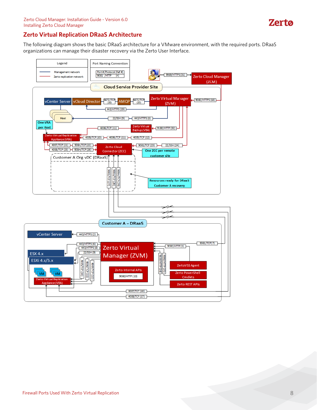

#### <span id="page-7-0"></span>**Zerto Virtual Replication DRaaS Architecture**

The following diagram shows the basic DRaaS architecture for a VMware environment, with the required ports. DRaaS organizations can manage their disaster recovery via the Zerto User Interface.

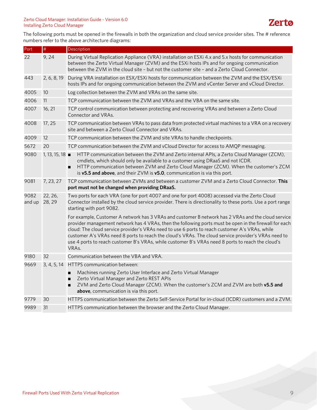#### Zerto Cloud Manager: Installation Guide - Version 6.0 Installing Zerto Cloud Manager

The following ports must be opened in the firewalls in both the organization and cloud service provider sites. The # reference numbers refer to the above architecture diagrams:

| Port           | $\#$              | Description                                                                                                                                                                                                                                                                                                                                                                                                                                                                                                                         |
|----------------|-------------------|-------------------------------------------------------------------------------------------------------------------------------------------------------------------------------------------------------------------------------------------------------------------------------------------------------------------------------------------------------------------------------------------------------------------------------------------------------------------------------------------------------------------------------------|
| 22             | 9,24              | During Virtual Replication Appliance (VRA) installation on ESXi 4.x and 5.x hosts for communication<br>between the Zerto Virtual Manager (ZVM) and the ESXi hosts IPs and for ongoing communication<br>between the ZVM in the cloud site - but not the customer site - and a Zerto Cloud Connector.                                                                                                                                                                                                                                 |
| 443            | 2, 6, 8, 19       | During VRA installation on ESX/ESXi hosts for communication between the ZVM and the ESX/ESXi<br>hosts IPs and for ongoing communication between the ZVM and vCenter Server and vCloud Director.                                                                                                                                                                                                                                                                                                                                     |
| 4005           | 10                | Log collection between the ZVM and VRAs on the same site.                                                                                                                                                                                                                                                                                                                                                                                                                                                                           |
| 4006           | 11                | TCP communication between the ZVM and VRAs and the VBA on the same site.                                                                                                                                                                                                                                                                                                                                                                                                                                                            |
| 4007           | 16, 21            | TCP control communication between protecting and recovering VRAs and between a Zerto Cloud<br>Connector and VRAs.                                                                                                                                                                                                                                                                                                                                                                                                                   |
| 4008           | 17, 25            | TCP communication between VRAs to pass data from protected virtual machines to a VRA on a recovery<br>site and between a Zerto Cloud Connector and VRAs.                                                                                                                                                                                                                                                                                                                                                                            |
| 4009           | 12                | TCP communication between the ZVM and site VRAs to handle checkpoints.                                                                                                                                                                                                                                                                                                                                                                                                                                                              |
| 5672           | 20                | TCP communication between the ZVM and vCloud Director for access to AMQP messaging.                                                                                                                                                                                                                                                                                                                                                                                                                                                 |
| 9080           | 1, 13, 15, 18     | HTTP communication between the ZVM and Zerto internal APIs, a Zerto Cloud Manager (ZCM),<br>cmdlets, which should only be available to a customer using DRaaS and not ICDR.<br>HTTP communication between ZVM and Zerto Cloud Manager (ZCM). When the customer's ZCM<br>is v5.5 and above, and their ZVM is v5.0, communication is via this port.                                                                                                                                                                                   |
| 9081           | 7, 23, 27         | TCP communication between ZVMs and between a customer ZVM and a Zerto Cloud Connector. This<br>port must not be changed when providing DRaaS.                                                                                                                                                                                                                                                                                                                                                                                       |
| 9082<br>and up | 22, 26,<br>28, 29 | Two ports for each VRA (one for port 4007 and one for port 4008) accessed via the Zerto Cloud<br>Connector installed by the cloud service provider. There is directionality to these ports. Use a port range<br>starting with port 9082.                                                                                                                                                                                                                                                                                            |
|                |                   | For example, Customer A network has 3 VRAs and customer B network has 2 VRAs and the cloud service<br>provider management network has 4 VRAs, then the following ports must be open in the firewall for each<br>cloud: The cloud service provider's VRAs need to use 6 ports to reach customer A's VRAs, while<br>customer A's VRAs need 8 ports to reach the cloud's VRAs. The cloud service provider's VRAs need to<br>use 4 ports to reach customer B's VRAs, while customer B's VRAs need 8 ports to reach the cloud's<br>VRAs. |
| 9180           | 32                | Communication between the VBA and VRA.                                                                                                                                                                                                                                                                                                                                                                                                                                                                                              |
| 9669           | 3, 4, 5, 14       | HTTPS communication between:                                                                                                                                                                                                                                                                                                                                                                                                                                                                                                        |
|                |                   | Machines running Zerto User Interface and Zerto Virtual Manager<br>Zerto Virtual Manager and Zerto REST APIs<br>ZVM and Zerto Cloud Manager (ZCM). When the customer's ZCM and ZVM are both v5.5 and<br>above, communication is via this port.                                                                                                                                                                                                                                                                                      |
| 9779           | 30                | HTTPS communication between the Zerto Self-Service Portal for in-cloud (ICDR) customers and a ZVM.                                                                                                                                                                                                                                                                                                                                                                                                                                  |
| 9989           | 31                | HTTPS communication between the browser and the Zerto Cloud Manager.                                                                                                                                                                                                                                                                                                                                                                                                                                                                |